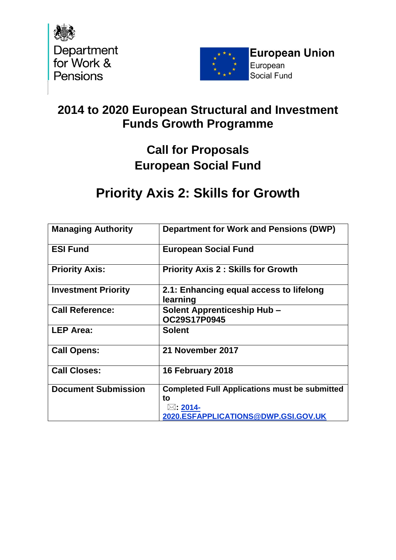



# **2014 to 2020 European Structural and Investment Funds Growth Programme**

# **Call for Proposals European Social Fund**

# **Priority Axis 2: Skills for Growth**

| <b>Managing Authority</b>  | Department for Work and Pensions (DWP)                                                                               |
|----------------------------|----------------------------------------------------------------------------------------------------------------------|
| <b>ESI Fund</b>            | <b>European Social Fund</b>                                                                                          |
| <b>Priority Axis:</b>      | <b>Priority Axis 2: Skills for Growth</b>                                                                            |
| <b>Investment Priority</b> | 2.1: Enhancing equal access to lifelong<br>learning                                                                  |
| <b>Call Reference:</b>     | <b>Solent Apprenticeship Hub -</b><br>OC29S17P0945                                                                   |
| <b>LEP Area:</b>           | <b>Solent</b>                                                                                                        |
| <b>Call Opens:</b>         | 21 November 2017                                                                                                     |
| <b>Call Closes:</b>        | 16 February 2018                                                                                                     |
| <b>Document Submission</b> | <b>Completed Full Applications must be submitted</b><br>to<br>⊠: <u>2014-</u><br>2020.ESFAPPLICATIONS@DWP.GSI.GOV.UK |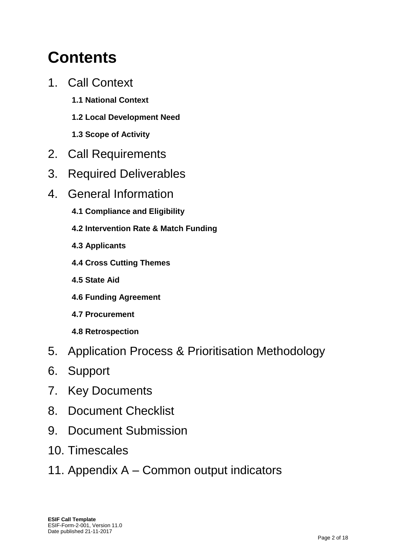# **Contents**

- 1. Call Context
	- **1.1 National Context**
	- **1.2 Local Development Need**
	- **1.3 Scope of Activity**
- 2. Call Requirements
- 3. Required Deliverables
- 4. General Information
	- **4.1 Compliance and Eligibility**
	- **4.2 Intervention Rate & Match Funding**
	- **4.3 Applicants**
	- **4.4 Cross Cutting Themes**
	- **4.5 State Aid**
	- **4.6 Funding Agreement**
	- **4.7 Procurement**
	- **4.8 Retrospection**
- 5. Application Process & Prioritisation Methodology
- 6. Support
- 7. Key Documents
- 8. Document Checklist
- 9. Document Submission
- 10. Timescales
- 11. Appendix A Common output indicators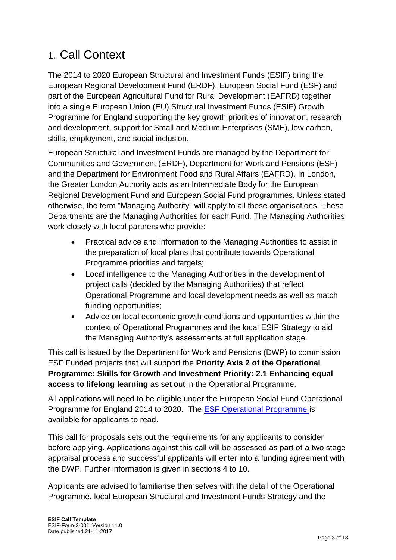# 1. Call Context

The 2014 to 2020 European Structural and Investment Funds (ESIF) bring the European Regional Development Fund (ERDF), European Social Fund (ESF) and part of the European Agricultural Fund for Rural Development (EAFRD) together into a single European Union (EU) Structural Investment Funds (ESIF) Growth Programme for England supporting the key growth priorities of innovation, research and development, support for Small and Medium Enterprises (SME), low carbon, skills, employment, and social inclusion.

European Structural and Investment Funds are managed by the Department for Communities and Government (ERDF), Department for Work and Pensions (ESF) and the Department for Environment Food and Rural Affairs (EAFRD). In London, the Greater London Authority acts as an Intermediate Body for the European Regional Development Fund and European Social Fund programmes. Unless stated otherwise, the term "Managing Authority" will apply to all these organisations. These Departments are the Managing Authorities for each Fund. The Managing Authorities work closely with local partners who provide:

- Practical advice and information to the Managing Authorities to assist in the preparation of local plans that contribute towards Operational Programme priorities and targets;
- Local intelligence to the Managing Authorities in the development of project calls (decided by the Managing Authorities) that reflect Operational Programme and local development needs as well as match funding opportunities;
- Advice on local economic growth conditions and opportunities within the context of Operational Programmes and the local ESIF Strategy to aid the Managing Authority's assessments at full application stage.

This call is issued by the Department for Work and Pensions (DWP) to commission ESF Funded projects that will support the **Priority Axis 2 of the Operational Programme: Skills for Growth** and **Investment Priority: 2.1 Enhancing equal access to lifelong learning** as set out in the Operational Programme.

All applications will need to be eligible under the European Social Fund Operational Programme for England 2014 to 2020. The [ESF Operational Programme](https://www.gov.uk/government/publications/european-social-fund-operational-programme-2014-to-2020) is available for applicants to read.

This call for proposals sets out the requirements for any applicants to consider before applying. Applications against this call will be assessed as part of a two stage appraisal process and successful applicants will enter into a funding agreement with the DWP. Further information is given in sections 4 to 10.

Applicants are advised to familiarise themselves with the detail of the Operational Programme, local European Structural and Investment Funds Strategy and the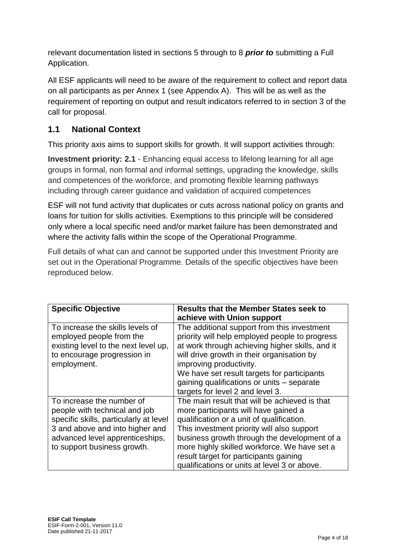relevant documentation listed in sections 5 through to 8 *prior to* submitting a Full Application.

All ESF applicants will need to be aware of the requirement to collect and report data on all participants as per Annex 1 (see Appendix A). This will be as well as the requirement of reporting on output and result indicators referred to in section 3 of the call for proposal.

### **1.1 National Context**

This priority axis aims to support skills for growth. It will support activities through:

**Investment priority: 2.1** - Enhancing equal access to lifelong learning for all age groups in formal, non formal and informal settings, upgrading the knowledge, skills and competences of the workforce, and promoting flexible learning pathways including through career guidance and validation of acquired competences

ESF will not fund activity that duplicates or cuts across national policy on grants and loans for tuition for skills activities. Exemptions to this principle will be considered only where a local specific need and/or market failure has been demonstrated and where the activity falls within the scope of the Operational Programme.

Full details of what can and cannot be supported under this Investment Priority are set out in the Operational Programme. Details of the specific objectives have been reproduced below.

| <b>Specific Objective</b>                                                                                                                                                                                 | <b>Results that the Member States seek to</b>                                                                                                                                                                                                                                                                                                                              |
|-----------------------------------------------------------------------------------------------------------------------------------------------------------------------------------------------------------|----------------------------------------------------------------------------------------------------------------------------------------------------------------------------------------------------------------------------------------------------------------------------------------------------------------------------------------------------------------------------|
|                                                                                                                                                                                                           | achieve with Union support                                                                                                                                                                                                                                                                                                                                                 |
| To increase the skills levels of<br>employed people from the<br>existing level to the next level up,<br>to encourage progression in<br>employment.                                                        | The additional support from this investment<br>priority will help employed people to progress<br>at work through achieving higher skills, and it<br>will drive growth in their organisation by<br>improving productivity.<br>We have set result targets for participants<br>gaining qualifications or units – separate<br>targets for level 2 and level 3.                 |
| To increase the number of<br>people with technical and job<br>specific skills, particularly at level<br>3 and above and into higher and<br>advanced level apprenticeships,<br>to support business growth. | The main result that will be achieved is that<br>more participants will have gained a<br>qualification or a unit of qualification.<br>This investment priority will also support<br>business growth through the development of a<br>more highly skilled workforce. We have set a<br>result target for participants gaining<br>qualifications or units at level 3 or above. |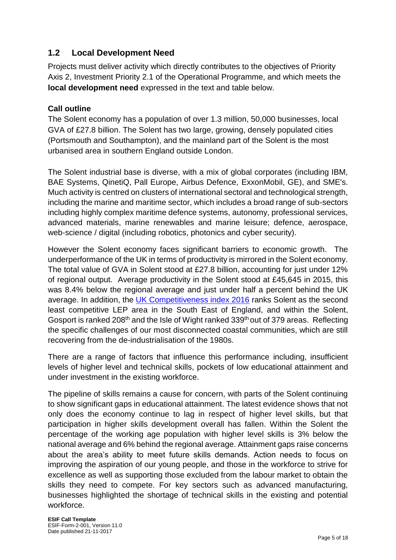### **1.2 Local Development Need**

Projects must deliver activity which directly contributes to the objectives of Priority Axis 2, Investment Priority 2.1 of the Operational Programme, and which meets the **local development need** expressed in the text and table below.

#### **Call outline**

The Solent economy has a population of over 1.3 million, 50,000 businesses, local GVA of £27.8 billion. The Solent has two large, growing, densely populated cities (Portsmouth and Southampton), and the mainland part of the Solent is the most urbanised area in southern England outside London.

The Solent industrial base is diverse, with a mix of global corporates (including IBM, BAE Systems, QinetiQ, Pall Europe, Airbus Defence, ExxonMobil, GE), and SME's. Much activity is centred on clusters of international sectoral and technological strength, including the marine and maritime sector, which includes a broad range of sub-sectors including highly complex maritime defence systems, autonomy, professional services, advanced materials, marine renewables and marine leisure; defence, aerospace, web-science / digital (including robotics, photonics and cyber security).

However the Solent economy faces significant barriers to economic growth. The underperformance of the UK in terms of productivity is mirrored in the Solent economy. The total value of GVA in Solent stood at £27.8 billion, accounting for just under 12% of regional output. Average productivity in the Solent stood at £45,645 in 2015, this was 8.4% below the regional average and just under half a percent behind the UK average. In addition, the [UK Competitiveness index 2016](http://www.cforic.org/downloads.php) ranks Solent as the second least competitive LEP area in the South East of England, and within the Solent, Gosport is ranked 208<sup>th</sup> and the Isle of Wight ranked 339<sup>th</sup> out of 379 areas. Reflecting the specific challenges of our most disconnected coastal communities, which are still recovering from the de-industrialisation of the 1980s.

There are a range of factors that influence this performance including, insufficient levels of higher level and technical skills, pockets of low educational attainment and under investment in the existing workforce.

The pipeline of skills remains a cause for concern, with parts of the Solent continuing to show significant gaps in educational attainment. The latest evidence shows that not only does the economy continue to lag in respect of higher level skills, but that participation in higher skills development overall has fallen. Within the Solent the percentage of the working age population with higher level skills is 3% below the national average and 6% behind the regional average. Attainment gaps raise concerns about the area's ability to meet future skills demands. Action needs to focus on improving the aspiration of our young people, and those in the workforce to strive for excellence as well as supporting those excluded from the labour market to obtain the skills they need to compete. For key sectors such as advanced manufacturing, businesses highlighted the shortage of technical skills in the existing and potential workforce.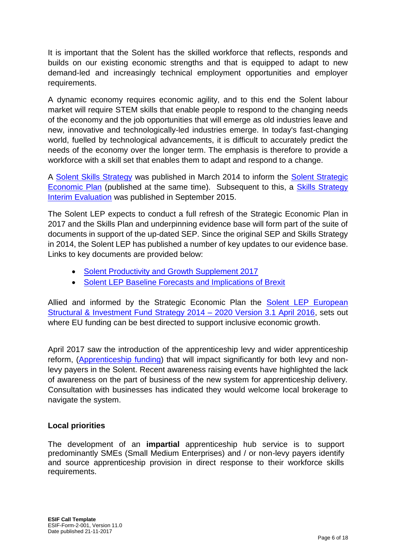It is important that the Solent has the skilled workforce that reflects, responds and builds on our existing economic strengths and that is equipped to adapt to new demand-led and increasingly technical employment opportunities and employer requirements.

A dynamic economy requires economic agility, and to this end the Solent labour market will require STEM skills that enable people to respond to the changing needs of the economy and the job opportunities that will emerge as old industries leave and new, innovative and technologically-led industries emerge. In today's fast-changing world, fuelled by technological advancements, it is difficult to accurately predict the needs of the economy over the longer term. The emphasis is therefore to provide a workforce with a skill set that enables them to adapt and respond to a change.

A [Solent Skills Strategy](https://solentlep.org.uk/media/1326/solent_skills_strategy_2014.pdf) was published in March 2014 to inform the [Solent Strategic](https://solentlep.org.uk/media/1332/solent_strategic_economic_plan.pdf)  [Economic Plan](https://solentlep.org.uk/media/1332/solent_strategic_economic_plan.pdf) (published at the same time). Subsequent to this, a [Skills Strategy](https://solentlep.org.uk/media/1352/skills-strategy-interim-evaluation.pdf)  [Interim Evaluation](https://solentlep.org.uk/media/1352/skills-strategy-interim-evaluation.pdf) was published in September 2015.

The Solent LEP expects to conduct a full refresh of the Strategic Economic Plan in 2017 and the Skills Plan and underpinning evidence base will form part of the suite of documents in support of the up-dated SEP. Since the original SEP and Skills Strategy in 2014, the Solent LEP has published a number of key updates to our evidence base. Links to key documents are provided below:

- [Solent Productivity and Growth Supplement 2017](https://solentlep.org.uk/media/1860/productivity-and-growth-strategy-update-february-2017.pdf)
- [Solent LEP Baseline Forecasts and Implications of Brexit](https://solentlep.org.uk/media/1887/solent-lep-baseline-forecasts-and-the-implications-of-brexit.pdf)

Allied and informed by the Strategic Economic Plan the [Solent LEP European](https://solentlep.org.uk/media/1613/solent-eu-sif-strategy-april-2016.pdf)  [Structural & Investment Fund Strategy 2014 –](https://solentlep.org.uk/media/1613/solent-eu-sif-strategy-april-2016.pdf) 2020 Version 3.1 April 2016, sets out where EU funding can be best directed to support inclusive economic growth.

April 2017 saw the introduction of the apprenticeship levy and wider apprenticeship reform, [\(Apprenticeship funding\)](https://www.gov.uk/government/collections/apprenticeship-changes) that will impact significantly for both levy and nonlevy payers in the Solent. Recent awareness raising events have highlighted the lack of awareness on the part of business of the new system for apprenticeship delivery. Consultation with businesses has indicated they would welcome local brokerage to navigate the system.

#### **Local priorities**

The development of an **impartial** apprenticeship hub service is to support predominantly SMEs (Small Medium Enterprises) and / or non-levy payers identify and source apprenticeship provision in direct response to their workforce skills requirements.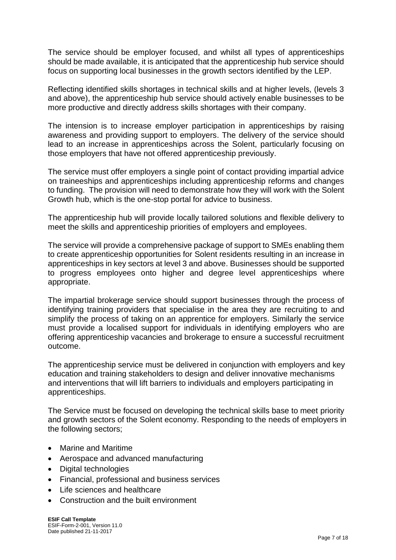The service should be employer focused, and whilst all types of apprenticeships should be made available, it is anticipated that the apprenticeship hub service should focus on supporting local businesses in the growth sectors identified by the LEP.

Reflecting identified skills shortages in technical skills and at higher levels, (levels 3 and above), the apprenticeship hub service should actively enable businesses to be more productive and directly address skills shortages with their company.

The intension is to increase employer participation in apprenticeships by raising awareness and providing support to employers. The delivery of the service should lead to an increase in apprenticeships across the Solent, particularly focusing on those employers that have not offered apprenticeship previously.

The service must offer employers a single point of contact providing impartial advice on traineeships and apprenticeships including apprenticeship reforms and changes to funding. The provision will need to demonstrate how they will work with the Solent Growth hub, which is the one-stop portal for advice to business.

The apprenticeship hub will provide locally tailored solutions and flexible delivery to meet the skills and apprenticeship priorities of employers and employees.

The service will provide a comprehensive package of support to SMEs enabling them to create apprenticeship opportunities for Solent residents resulting in an increase in apprenticeships in key sectors at level 3 and above. Businesses should be supported to progress employees onto higher and degree level apprenticeships where appropriate.

The impartial brokerage service should support businesses through the process of identifying training providers that specialise in the area they are recruiting to and simplify the process of taking on an apprentice for employers. Similarly the service must provide a localised support for individuals in identifying employers who are offering apprenticeship vacancies and brokerage to ensure a successful recruitment outcome.

The apprenticeship service must be delivered in conjunction with employers and key education and training stakeholders to design and deliver innovative mechanisms and interventions that will lift barriers to individuals and employers participating in apprenticeships.

The Service must be focused on developing the technical skills base to meet priority and growth sectors of the Solent economy. Responding to the needs of employers in the following sectors;

- Marine and Maritime
- Aerospace and advanced manufacturing
- Digital technologies
- Financial, professional and business services
- Life sciences and healthcare
- Construction and the built environment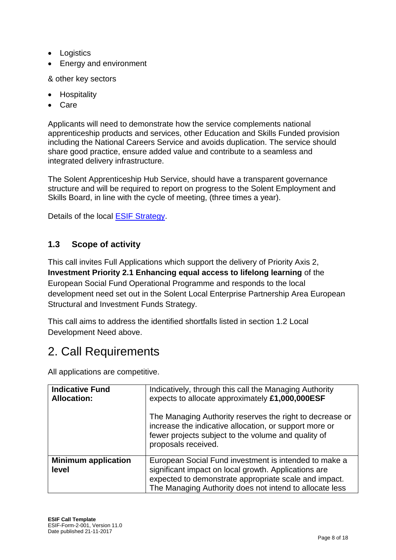- Logistics
- Energy and environment

& other key sectors

- Hospitality
- Care

Applicants will need to demonstrate how the service complements national apprenticeship products and services, other Education and Skills Funded provision including the National Careers Service and avoids duplication. The service should share good practice, ensure added value and contribute to a seamless and integrated delivery infrastructure.

The Solent Apprenticeship Hub Service, should have a transparent governance structure and will be required to report on progress to the Solent Employment and Skills Board, in line with the cycle of meeting, (three times a year).

Details of the local [ESIF Strategy.](https://solentlep.org.uk/media/1613/solent-eu-sif-strategy-april-2016.pdf)

#### **1.3 Scope of activity**

This call invites Full Applications which support the delivery of Priority Axis 2, **Investment Priority 2.1 Enhancing equal access to lifelong learning** of the European Social Fund Operational Programme and responds to the local development need set out in the Solent Local Enterprise Partnership Area European Structural and Investment Funds Strategy.

This call aims to address the identified shortfalls listed in section 1.2 Local Development Need above.

### 2. Call Requirements

All applications are competitive.

| <b>Indicative Fund</b><br><b>Allocation:</b> | Indicatively, through this call the Managing Authority<br>expects to allocate approximately £1,000,000ESF                                                                                                                         |
|----------------------------------------------|-----------------------------------------------------------------------------------------------------------------------------------------------------------------------------------------------------------------------------------|
|                                              | The Managing Authority reserves the right to decrease or<br>increase the indicative allocation, or support more or<br>fewer projects subject to the volume and quality of<br>proposals received.                                  |
| <b>Minimum application</b><br>level          | European Social Fund investment is intended to make a<br>significant impact on local growth. Applications are<br>expected to demonstrate appropriate scale and impact.<br>The Managing Authority does not intend to allocate less |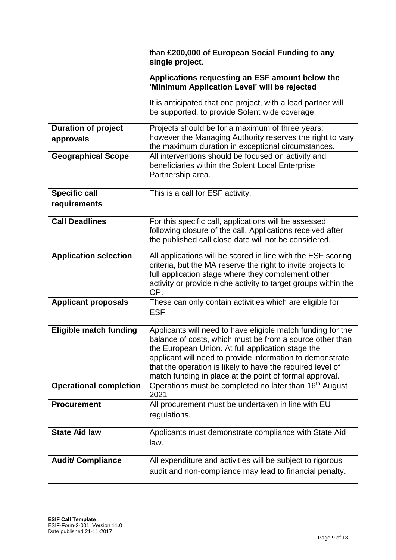|                                         | than £200,000 of European Social Funding to any<br>single project.                                                                                                                                                                                                                                                                                                 |  |
|-----------------------------------------|--------------------------------------------------------------------------------------------------------------------------------------------------------------------------------------------------------------------------------------------------------------------------------------------------------------------------------------------------------------------|--|
|                                         | Applications requesting an ESF amount below the<br>'Minimum Application Level' will be rejected                                                                                                                                                                                                                                                                    |  |
|                                         | It is anticipated that one project, with a lead partner will<br>be supported, to provide Solent wide coverage.                                                                                                                                                                                                                                                     |  |
| <b>Duration of project</b><br>approvals | Projects should be for a maximum of three years;<br>however the Managing Authority reserves the right to vary<br>the maximum duration in exceptional circumstances.                                                                                                                                                                                                |  |
| <b>Geographical Scope</b>               | All interventions should be focused on activity and<br>beneficiaries within the Solent Local Enterprise<br>Partnership area.                                                                                                                                                                                                                                       |  |
| <b>Specific call</b><br>requirements    | This is a call for ESF activity.                                                                                                                                                                                                                                                                                                                                   |  |
| <b>Call Deadlines</b>                   | For this specific call, applications will be assessed<br>following closure of the call. Applications received after<br>the published call close date will not be considered.                                                                                                                                                                                       |  |
| <b>Application selection</b>            | All applications will be scored in line with the ESF scoring<br>criteria, but the MA reserve the right to invite projects to<br>full application stage where they complement other<br>activity or provide niche activity to target groups within the<br>OP.                                                                                                        |  |
| <b>Applicant proposals</b>              | These can only contain activities which are eligible for<br>ESF.                                                                                                                                                                                                                                                                                                   |  |
| <b>Eligible match funding</b>           | Applicants will need to have eligible match funding for the<br>balance of costs, which must be from a source other than<br>the European Union. At full application stage the<br>applicant will need to provide information to demonstrate<br>that the operation is likely to have the required level of<br>match funding in place at the point of formal approval. |  |
| <b>Operational completion</b>           | Operations must be completed no later than 16th August<br>2021                                                                                                                                                                                                                                                                                                     |  |
| <b>Procurement</b>                      | All procurement must be undertaken in line with EU<br>regulations.                                                                                                                                                                                                                                                                                                 |  |
| <b>State Aid law</b>                    | Applicants must demonstrate compliance with State Aid<br>law.                                                                                                                                                                                                                                                                                                      |  |
| <b>Audit/ Compliance</b>                | All expenditure and activities will be subject to rigorous<br>audit and non-compliance may lead to financial penalty.                                                                                                                                                                                                                                              |  |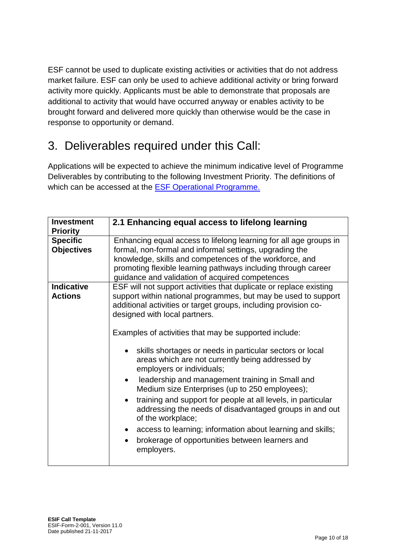ESF cannot be used to duplicate existing activities or activities that do not address market failure. ESF can only be used to achieve additional activity or bring forward activity more quickly. Applicants must be able to demonstrate that proposals are additional to activity that would have occurred anyway or enables activity to be brought forward and delivered more quickly than otherwise would be the case in response to opportunity or demand.

# 3. Deliverables required under this Call:

Applications will be expected to achieve the minimum indicative level of Programme Deliverables by contributing to the following Investment Priority. The definitions of which can be accessed at the [ESF Operational Programme.](https://www.gov.uk/government/publications/european-social-fund-operational-programme-2014-to-2020)

| <b>Investment</b><br><b>Priority</b> | 2.1 Enhancing equal access to lifelong learning                                                                                                                                                                                                                                                                                                                                                                                                                                                                                                                                                                                                                                                                                                                                                                                                                           |  |
|--------------------------------------|---------------------------------------------------------------------------------------------------------------------------------------------------------------------------------------------------------------------------------------------------------------------------------------------------------------------------------------------------------------------------------------------------------------------------------------------------------------------------------------------------------------------------------------------------------------------------------------------------------------------------------------------------------------------------------------------------------------------------------------------------------------------------------------------------------------------------------------------------------------------------|--|
| <b>Specific</b><br><b>Objectives</b> | Enhancing equal access to lifelong learning for all age groups in<br>formal, non-formal and informal settings, upgrading the<br>knowledge, skills and competences of the workforce, and<br>promoting flexible learning pathways including through career<br>guidance and validation of acquired competences                                                                                                                                                                                                                                                                                                                                                                                                                                                                                                                                                               |  |
| <b>Indicative</b><br><b>Actions</b>  | ESF will not support activities that duplicate or replace existing<br>support within national programmes, but may be used to support<br>additional activities or target groups, including provision co-<br>designed with local partners.<br>Examples of activities that may be supported include:<br>skills shortages or needs in particular sectors or local<br>areas which are not currently being addressed by<br>employers or individuals;<br>leadership and management training in Small and<br>$\bullet$<br>Medium size Enterprises (up to 250 employees);<br>training and support for people at all levels, in particular<br>$\bullet$<br>addressing the needs of disadvantaged groups in and out<br>of the workplace;<br>access to learning; information about learning and skills;<br>$\bullet$<br>brokerage of opportunities between learners and<br>employers. |  |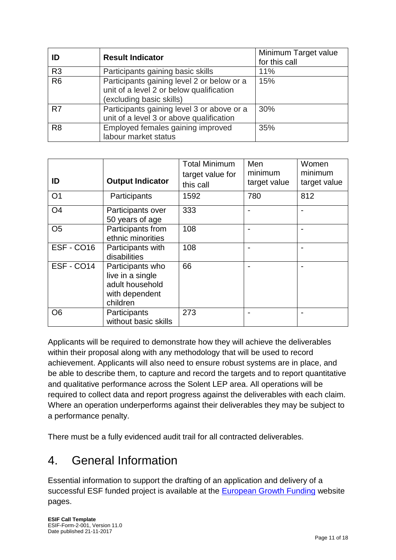| ID             | <b>Result Indicator</b>                                                                                            | Minimum Target value<br>for this call |
|----------------|--------------------------------------------------------------------------------------------------------------------|---------------------------------------|
| R <sub>3</sub> | Participants gaining basic skills                                                                                  | 11%                                   |
| R <sub>6</sub> | Participants gaining level 2 or below or a<br>unit of a level 2 or below qualification<br>(excluding basic skills) | 15%                                   |
| R <sub>7</sub> | Participants gaining level 3 or above or a<br>unit of a level 3 or above qualification                             | 30%                                   |
| R <sub>8</sub> | Employed females gaining improved<br>labour market status                                                          | 35%                                   |

| ID             | <b>Output Indicator</b>                                                               | <b>Total Minimum</b><br>target value for<br>this call | Men<br>minimum<br>target value | Women<br>minimum<br>target value |
|----------------|---------------------------------------------------------------------------------------|-------------------------------------------------------|--------------------------------|----------------------------------|
| O <sub>1</sub> | Participants                                                                          | 1592                                                  | 780                            | 812                              |
| O <sub>4</sub> | Participants over<br>50 years of age                                                  | 333                                                   |                                |                                  |
| O <sub>5</sub> | Participants from<br>ethnic minorities                                                | 108                                                   |                                |                                  |
| ESF-CO16       | Participants with<br>disabilities                                                     | 108                                                   |                                |                                  |
| ESF - CO14     | Participants who<br>live in a single<br>adult household<br>with dependent<br>children | 66                                                    |                                |                                  |
| O <sub>6</sub> | Participants<br>without basic skills                                                  | 273                                                   |                                |                                  |

Applicants will be required to demonstrate how they will achieve the deliverables within their proposal along with any methodology that will be used to record achievement. Applicants will also need to ensure robust systems are in place, and be able to describe them, to capture and record the targets and to report quantitative and qualitative performance across the Solent LEP area. All operations will be required to collect data and report progress against the deliverables with each claim. Where an operation underperforms against their deliverables they may be subject to a performance penalty.

There must be a fully evidenced audit trail for all contracted deliverables.

## 4. General Information

Essential information to support the drafting of an application and delivery of a successful ESF funded project is available at the [European Growth Funding](https://www.gov.uk/european-growth-funding) website pages.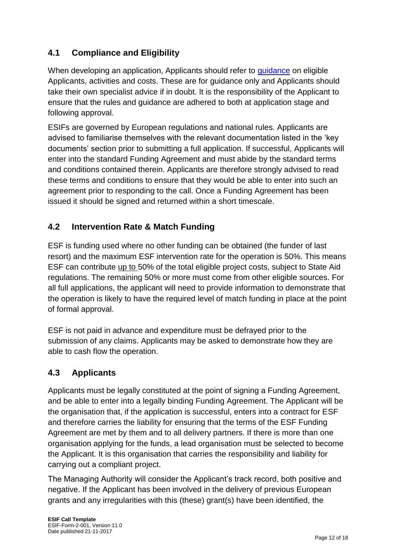### **4.1 Compliance and Eligibility**

When developing an application, Applicants should refer to quidance on eligible Applicants, activities and costs. These are for guidance only and Applicants should take their own specialist advice if in doubt. It is the responsibility of the Applicant to ensure that the rules and guidance are adhered to both at application stage and following approval.

ESIFs are governed by European regulations and national rules. Applicants are advised to familiarise themselves with the relevant documentation listed in the 'key documents' section prior to submitting a full application. If successful, Applicants will enter into the standard Funding Agreement and must abide by the standard terms and conditions contained therein. Applicants are therefore strongly advised to read these terms and conditions to ensure that they would be able to enter into such an agreement prior to responding to the call. Once a Funding Agreement has been issued it should be signed and returned within a short timescale.

### **4.2 Intervention Rate & Match Funding**

ESF is funding used where no other funding can be obtained (the funder of last resort) and the maximum ESF intervention rate for the operation is 50%. This means ESF can contribute up to 50% of the total eligible project costs, subject to State Aid regulations. The remaining 50% or more must come from other eligible sources. For all full applications, the applicant will need to provide information to demonstrate that the operation is likely to have the required level of match funding in place at the point of formal approval.

ESF is not paid in advance and expenditure must be defrayed prior to the submission of any claims. Applicants may be asked to demonstrate how they are able to cash flow the operation.

### **4.3 Applicants**

Applicants must be legally constituted at the point of signing a Funding Agreement, and be able to enter into a legally binding Funding Agreement. The Applicant will be the organisation that, if the application is successful, enters into a contract for ESF and therefore carries the liability for ensuring that the terms of the ESF Funding Agreement are met by them and to all delivery partners. If there is more than one organisation applying for the funds, a lead organisation must be selected to become the Applicant. It is this organisation that carries the responsibility and liability for carrying out a compliant project.

The Managing Authority will consider the Applicant's track record, both positive and negative. If the Applicant has been involved in the delivery of previous European grants and any irregularities with this (these) grant(s) have been identified, the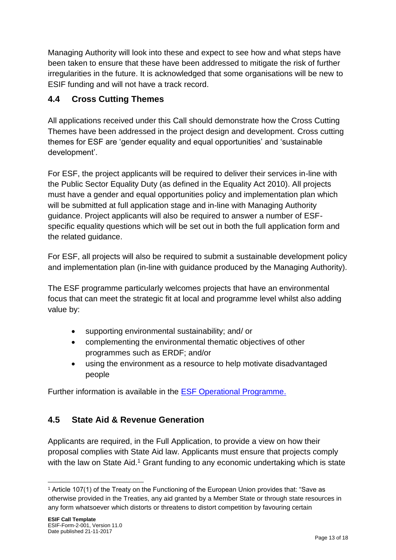Managing Authority will look into these and expect to see how and what steps have been taken to ensure that these have been addressed to mitigate the risk of further irregularities in the future. It is acknowledged that some organisations will be new to ESIF funding and will not have a track record.

### **4.4 Cross Cutting Themes**

All applications received under this Call should demonstrate how the Cross Cutting Themes have been addressed in the project design and development. Cross cutting themes for ESF are 'gender equality and equal opportunities' and 'sustainable development'.

For ESF, the project applicants will be required to deliver their services in-line with the Public Sector Equality Duty (as defined in the Equality Act 2010). All projects must have a gender and equal opportunities policy and implementation plan which will be submitted at full application stage and in-line with Managing Authority guidance. Project applicants will also be required to answer a number of ESFspecific equality questions which will be set out in both the full application form and the related guidance.

For ESF, all projects will also be required to submit a sustainable development policy and implementation plan (in-line with guidance produced by the Managing Authority).

The ESF programme particularly welcomes projects that have an environmental focus that can meet the strategic fit at local and programme level whilst also adding value by:

- supporting environmental sustainability; and/ or
- complementing the environmental thematic objectives of other programmes such as ERDF; and/or
- using the environment as a resource to help motivate disadvantaged people

Further information is available in the [ESF Operational Programme.](https://www.gov.uk/government/publications/european-social-fund-operational-programme-2014-to-2020)

### **4.5 State Aid & Revenue Generation**

Applicants are required, in the Full Application, to provide a view on how their proposal complies with State Aid law. Applicants must ensure that projects comply with the law on State Aid.<sup>1</sup> Grant funding to any economic undertaking which is state

<sup>1</sup> <sup>1</sup> Article 107(1) of the Treaty on the Functioning of the European Union provides that: "Save as otherwise provided in the Treaties, any aid granted by a Member State or through state resources in any form whatsoever which distorts or threatens to distort competition by favouring certain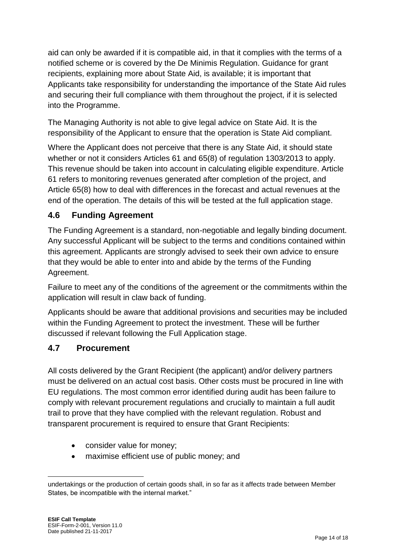aid can only be awarded if it is compatible aid, in that it complies with the terms of a notified scheme or is covered by the De Minimis Regulation. Guidance for grant recipients, explaining more about State Aid, is available; it is important that Applicants take responsibility for understanding the importance of the State Aid rules and securing their full compliance with them throughout the project, if it is selected into the Programme.

The Managing Authority is not able to give legal advice on State Aid. It is the responsibility of the Applicant to ensure that the operation is State Aid compliant.

Where the Applicant does not perceive that there is any State Aid, it should state whether or not it considers Articles 61 and 65(8) of regulation 1303/2013 to apply. This revenue should be taken into account in calculating eligible expenditure. Article 61 refers to monitoring revenues generated after completion of the project, and Article 65(8) how to deal with differences in the forecast and actual revenues at the end of the operation. The details of this will be tested at the full application stage.

### **4.6 Funding Agreement**

The Funding Agreement is a standard, non-negotiable and legally binding document. Any successful Applicant will be subject to the terms and conditions contained within this agreement. Applicants are strongly advised to seek their own advice to ensure that they would be able to enter into and abide by the terms of the Funding Agreement.

Failure to meet any of the conditions of the agreement or the commitments within the application will result in claw back of funding.

Applicants should be aware that additional provisions and securities may be included within the Funding Agreement to protect the investment. These will be further discussed if relevant following the Full Application stage.

#### **4.7 Procurement**

All costs delivered by the Grant Recipient (the applicant) and/or delivery partners must be delivered on an actual cost basis. Other costs must be procured in line with EU regulations. The most common error identified during audit has been failure to comply with relevant procurement regulations and crucially to maintain a full audit trail to prove that they have complied with the relevant regulation. Robust and transparent procurement is required to ensure that Grant Recipients:

- consider value for money;
- maximise efficient use of public money; and

<sup>1</sup> undertakings or the production of certain goods shall, in so far as it affects trade between Member States, be incompatible with the internal market."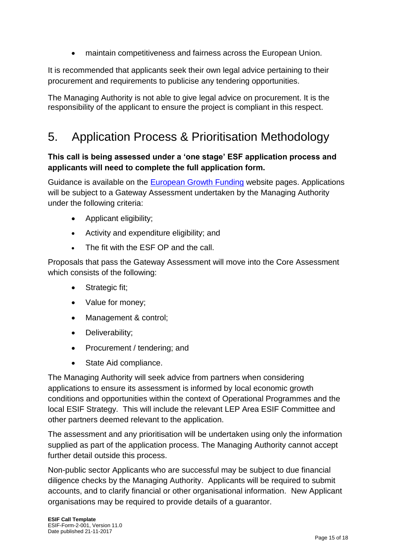maintain competitiveness and fairness across the European Union.

It is recommended that applicants seek their own legal advice pertaining to their procurement and requirements to publicise any tendering opportunities.

The Managing Authority is not able to give legal advice on procurement. It is the responsibility of the applicant to ensure the project is compliant in this respect.

# 5. Application Process & Prioritisation Methodology

#### **This call is being assessed under a 'one stage' ESF application process and applicants will need to complete the full application form.**

Guidance is available on the [European Growth Funding](https://www.gov.uk/european-growth-funding) website pages. Applications will be subject to a Gateway Assessment undertaken by the Managing Authority under the following criteria:

- Applicant eligibility:
- Activity and expenditure eligibility; and
- The fit with the ESF OP and the call.

Proposals that pass the Gateway Assessment will move into the Core Assessment which consists of the following:

- Strategic fit;
- Value for money:
- Management & control;
- Deliverability;
- Procurement / tendering; and
- State Aid compliance.

The Managing Authority will seek advice from partners when considering applications to ensure its assessment is informed by local economic growth conditions and opportunities within the context of Operational Programmes and the local ESIF Strategy. This will include the relevant LEP Area ESIF Committee and other partners deemed relevant to the application.

The assessment and any prioritisation will be undertaken using only the information supplied as part of the application process. The Managing Authority cannot accept further detail outside this process.

Non-public sector Applicants who are successful may be subject to due financial diligence checks by the Managing Authority. Applicants will be required to submit accounts, and to clarify financial or other organisational information. New Applicant organisations may be required to provide details of a guarantor.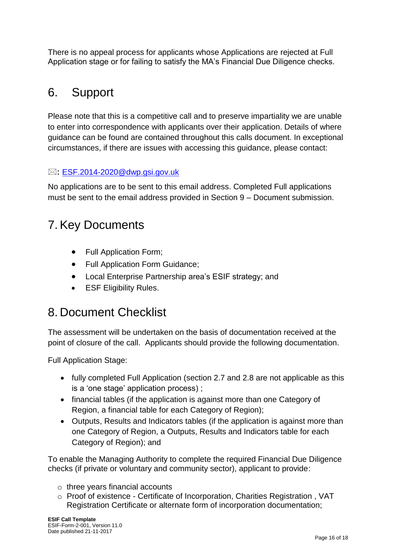There is no appeal process for applicants whose Applications are rejected at Full Application stage or for failing to satisfy the MA's Financial Due Diligence checks.

### 6. Support

Please note that this is a competitive call and to preserve impartiality we are unable to enter into correspondence with applicants over their application. Details of where guidance can be found are contained throughout this calls document. In exceptional circumstances, if there are issues with accessing this guidance, please contact:

#### $\boxtimes$ : [ESF.2014-2020@dwp.gsi.gov.uk](mailto:ESF.2014-2020@dwp.gsi.gov.uk)

No applications are to be sent to this email address. Completed Full applications must be sent to the email address provided in Section 9 – Document submission.

# 7. Key Documents

- Full Application Form;
- Full Application Form Guidance;
- Local Enterprise Partnership area's ESIF strategy; and
- ESF Eligibility Rules.

### 8. Document Checklist

The assessment will be undertaken on the basis of documentation received at the point of closure of the call. Applicants should provide the following documentation.

Full Application Stage:

- fully completed Full Application (section 2.7 and 2.8 are not applicable as this is a 'one stage' application process) ;
- financial tables (if the application is against more than one Category of Region, a financial table for each Category of Region);
- Outputs, Results and Indicators tables (if the application is against more than one Category of Region, a Outputs, Results and Indicators table for each Category of Region); and

To enable the Managing Authority to complete the required Financial Due Diligence checks (if private or voluntary and community sector), applicant to provide:

- o three years financial accounts
- o Proof of existence Certificate of Incorporation, Charities Registration , VAT Registration Certificate or alternate form of incorporation documentation;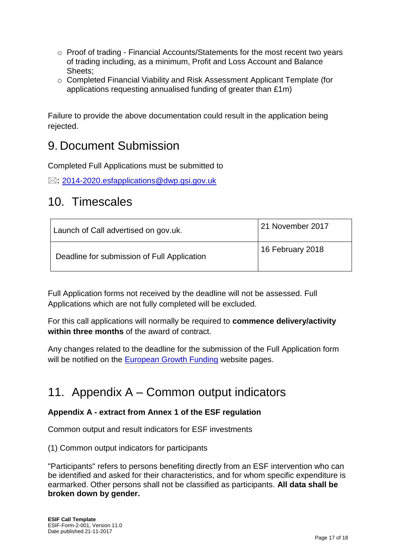- o Proof of trading Financial Accounts/Statements for the most recent two years of trading including, as a minimum, Profit and Loss Account and Balance Sheets;
- o Completed Financial Viability and Risk Assessment Applicant Template (for applications requesting annualised funding of greater than £1m)

Failure to provide the above documentation could result in the application being rejected.

## 9. Document Submission

Completed Full Applications must be submitted to

 $\boxtimes: 2014$ -2020.esfapplications@dwp.gsi.gov.uk

### 10. Timescales

| Launch of Call advertised on gov.uk.        | 21 November 2017 |  |
|---------------------------------------------|------------------|--|
| Deadline for submission of Full Application | 16 February 2018 |  |

Full Application forms not received by the deadline will not be assessed. Full Applications which are not fully completed will be excluded.

For this call applications will normally be required to **commence delivery/activity within three months** of the award of contract.

Any changes related to the deadline for the submission of the Full Application form will be notified on the [European Growth Funding](https://www.gov.uk/european-growth-funding) website pages.

## 11. Appendix A – Common output indicators

#### **Appendix A - extract from Annex 1 of the ESF regulation**

Common output and result indicators for ESF investments

(1) Common output indicators for participants

"Participants" refers to persons benefiting directly from an ESF intervention who can be identified and asked for their characteristics, and for whom specific expenditure is earmarked. Other persons shall not be classified as participants. **All data shall be broken down by gender.**